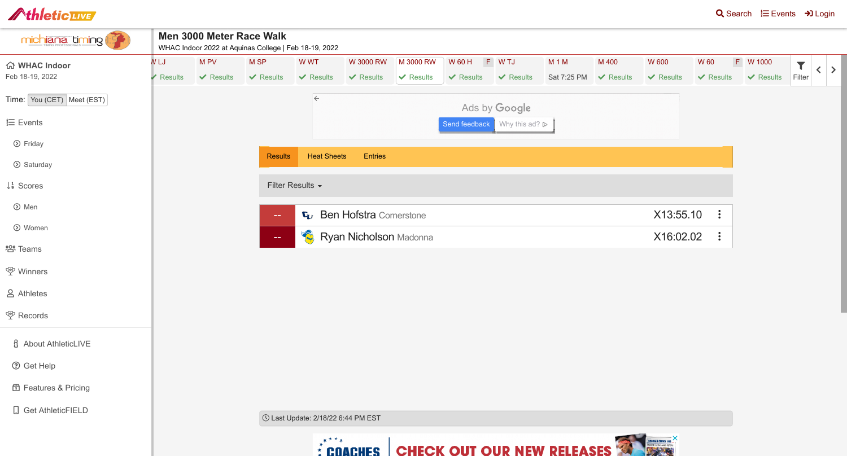